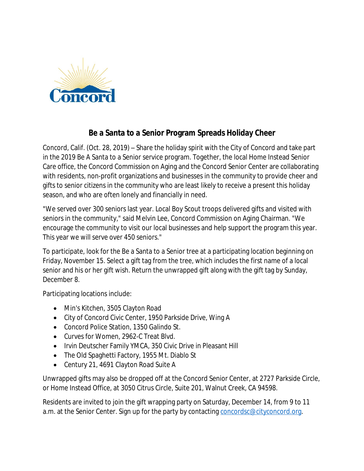

## **Be a Santa to a Senior Program Spreads Holiday Cheer**

Concord, Calif. (Oct. 28, 2019) – Share the holiday spirit with the City of Concord and take part in the 2019 Be A Santa to a Senior service program. Together, the local Home Instead Senior Care office, the Concord Commission on Aging and the Concord Senior Center are collaborating with residents, non-profit organizations and businesses in the community to provide cheer and gifts to senior citizens in the community who are least likely to receive a present this holiday season, and who are often lonely and financially in need.

"We served over 300 seniors last year. Local Boy Scout troops delivered gifts and visited with seniors in the community," said Melvin Lee, Concord Commission on Aging Chairman. "We encourage the community to visit our local businesses and help support the program this year. This year we will serve over 450 seniors."

To participate, look for the Be a Santa to a Senior tree at a participating location beginning on Friday, November 15. Select a gift tag from the tree, which includes the first name of a local senior and his or her gift wish. Return the unwrapped gift along with the gift tag by Sunday, December 8.

Participating locations include:

- Min's Kitchen, 3505 Clayton Road
- City of Concord Civic Center, 1950 Parkside Drive, Wing A
- Concord Police Station, 1350 Galindo St.
- Curves for Women, 2962-C Treat Blvd.
- Irvin Deutscher Family YMCA, 350 Civic Drive in Pleasant Hill
- The Old Spaghetti Factory, 1955 Mt. Diablo St
- Century 21, 4691 Clayton Road Suite A

Unwrapped gifts may also be dropped off at the Concord Senior Center, at 2727 Parkside Circle, or Home Instead Office, at 3050 Citrus Circle, Suite 201, Walnut Creek, CA 94598.

Residents are invited to join the gift wrapping party on Saturday, December 14, from 9 to 11 a.m. at the Senior Center. Sign up for the party by contacting [concordsc@cityconcord.org](mailto:concordsc@cityconcord.org).